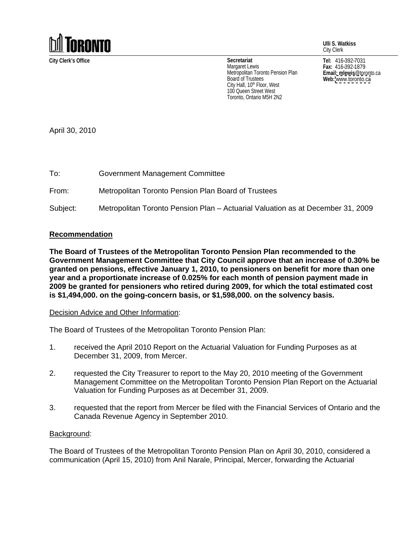

**Ulli S. Watkiss** City Clerk

**Fax:** 416-392-1879 **Email: mlewis**@toronto.ca **Web:** [www.toronto.ca](http://www.toronto.ca)

**City Clerk's Office Tel:** 416-392-7031 **Secretariat** Margaret Lewis  $\qquad \qquad$   $\qquad \qquad$  Fax: 416-392-1879  $\qquad \qquad$ Metropolitan Toronto Pension Plan Board of Trustees **Example 20** is the **Web:** www.toronto.ca City Hall, 10<sup>th</sup> Floor, West **All and Structure City Hall**, 10<sup>th</sup> Floor, West 100 Queen Street West Toronto, Ontario M5H 2N2

April 30, 2010 To: Government Management Committee

From: Metropolitan Toronto Pension Plan Board of Trustees

Subject: Metropolitan Toronto Pension Plan – Actuarial Valuation as at December 31, 2009

## **Recommendation**

**The Board of Trustees of the Metropolitan Toronto Pension Plan recommended to the Government Management Committee that City Council approve that an increase of 0.30% be granted on pensions, effective January 1, 2010, to pensioners on benefit for more than one year and a proportionate increase of 0.025% for each month of pension payment made in 2009 be granted for pensioners who retired during 2009, for which the total estimated cost is \$1,494,000. on the going-concern basis, or \$1,598,000. on the solvency basis.**

Decision Advice and Other Information:

The Board of Trustees of the Metropolitan Toronto Pension Plan:

- 1. received the April 2010 Report on the Actuarial Valuation for Funding Purposes as at December 31, 2009, from Mercer.
- 2. requested the City Treasurer to report to the May 20, 2010 meeting of the Government Management Committee on the Metropolitan Toronto Pension Plan Report on the Actuarial Valuation for Funding Purposes as at December 31, 2009.
- 3. requested that the report from Mercer be filed with the Financial Services of Ontario and the Canada Revenue Agency in September 2010.

## **Background:** The contract of the contract of the contract of the contract of the contract of the contract of the contract of the contract of the contract of the contract of the contract of the contract of the contract of

The Board of Trustees of the Metropolitan Toronto Pension Plan on April 30, 2010, considered a communication (April 15, 2010) from Anil Narale, Principal, Mercer, forwarding the Actuarial